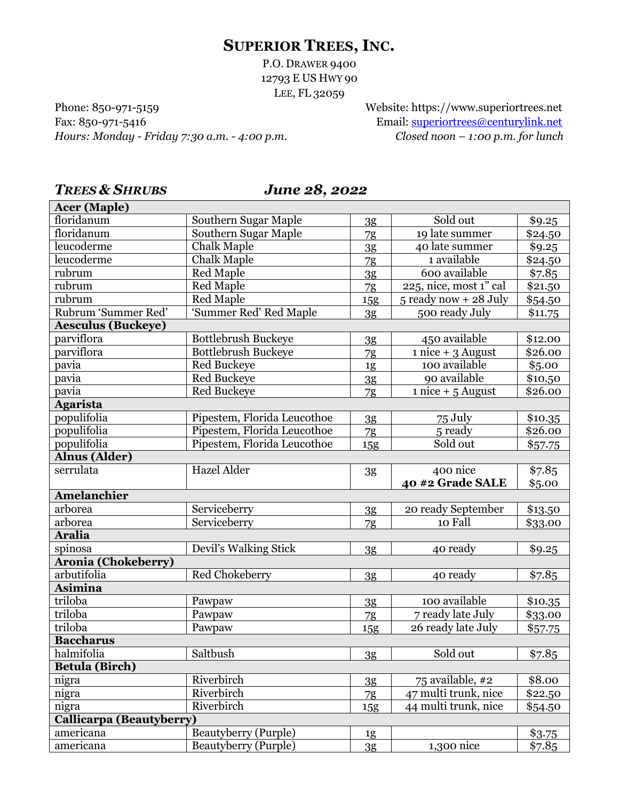# **SUPERIOR TREES, INC.**

P.O. DRAWER 9400 12793 E US HWY 90 LEE, FL 32059

Phone: 850-971-5159 Website: https://www.superiortrees.net Fax: 850-971-5416 Email: [superiortrees@centurylink.net](mailto:superiortrees@centurylink.net) *Hours: Monday - Friday 7:30 a.m. - 4:00 p.m. Closed noon – 1:00 p.m. for lunch*

## *TREES & SHRUBS June 28, 2022*

| <b>Acer (Maple)</b>             |                                              |                |                          |                  |
|---------------------------------|----------------------------------------------|----------------|--------------------------|------------------|
| floridanum                      | Southern Sugar Maple                         | 3 <sub>g</sub> | Sold out                 | \$9.25           |
| floridanum                      | Southern Sugar Maple                         | 7g             | 19 late summer           | \$24.50          |
| leucoderme                      | <b>Chalk Maple</b>                           | 3 <sub>g</sub> | 40 late summer           | \$9.25           |
| leucoderme                      | <b>Chalk Maple</b>                           | 7g             | 1 available              | \$24.50          |
| rubrum                          | <b>Red Maple</b>                             | 3 <sub>g</sub> | 600 available            | \$7.85           |
| rubrum                          | Red Maple                                    | 7g             | 225, nice, most 1" cal   | \$21.50          |
| rubrum                          | Red Maple                                    | 15g            | $5$ ready now $+28$ July | \$54.50          |
| Rubrum 'Summer Red'             | 'Summer Red' Red Maple                       | 3 <sub>g</sub> | 500 ready July           | \$11.75          |
| <b>Aesculus (Buckeye)</b>       |                                              |                |                          |                  |
| parviflora                      | <b>Bottlebrush Buckeye</b>                   | 3 <sub>g</sub> | 450 available            | \$12.00          |
| parviflora                      | Bottlebrush Buckeye                          | 7g             | $1$ nice + 3 August      | \$26.00          |
| pavia                           | <b>Red Buckeye</b>                           | 1g             | 100 available            | \$5.00           |
| pavia                           | Red Buckeye                                  | 3 <sub>g</sub> | 90 available             | \$10.50          |
| pavia                           | <b>Red Buckeye</b>                           | 7g             | $1$ nice + $5$ August    | \$26.00          |
| <b>Agarista</b>                 |                                              |                |                          |                  |
| populifolia                     | Pipestem, Florida Leucothoe                  | 3 <sub>g</sub> | 75 July                  | \$10.35          |
| populifolia                     | Pipestem, Florida Leucothoe                  | 7g             | 5 ready                  | \$26.00          |
| populifolia                     | Pipestem, Florida Leucothoe                  | <b>15g</b>     | Sold out                 | \$57.75          |
| <b>Alnus (Alder)</b>            |                                              |                |                          |                  |
| serrulata                       | <b>Hazel Alder</b>                           | 3g             | 400 nice                 | \$7.85           |
|                                 |                                              |                | 40 #2 Grade SALE         | \$5.00           |
| <b>Amelanchier</b>              |                                              |                |                          |                  |
|                                 |                                              |                |                          |                  |
| arborea                         | Serviceberry                                 | 3g             | 20 ready September       | \$13.50          |
| arborea                         | Serviceberry                                 | 7g             | 10 Fall                  | \$33.00          |
| <b>Aralia</b>                   |                                              |                |                          |                  |
| spinosa                         | Devil's Walking Stick                        | 3g             | 40 ready                 | \$9.25           |
| <b>Aronia (Chokeberry)</b>      |                                              |                |                          |                  |
| arbutifolia                     | Red Chokeberry                               | 3 <sub>g</sub> | 40 ready                 | \$7.85           |
| Asimina                         |                                              |                |                          |                  |
| triloba                         | Pawpaw                                       | 3 <sub>g</sub> | 100 available            | \$10.35          |
| triloba                         | Pawpaw                                       | 7g             | 7 ready late July        | \$33.00          |
| triloba                         | Pawpaw                                       | 15g            | 26 ready late July       | \$57.75          |
| <b>Baccharus</b>                |                                              |                |                          |                  |
| halmifolia                      | Saltbush                                     |                | Sold out                 |                  |
| <b>Betula</b> (Birch)           |                                              | 3g             |                          | \$7.85           |
| nigra                           | Riverbirch                                   | 3g             | 75 available, #2         | \$8.00           |
| nigra                           | Riverbirch                                   | 7g             | 47 multi trunk, nice     | \$22.50          |
| nigra                           | Riverbirch                                   | 15g            | 44 multi trunk, nice     | \$54.50          |
| <b>Callicarpa (Beautyberry)</b> |                                              |                |                          |                  |
| americana<br>americana          | Beautyberry (Purple)<br>Beautyberry (Purple) | 1g             | 1,300 nice               | \$3.75<br>\$7.85 |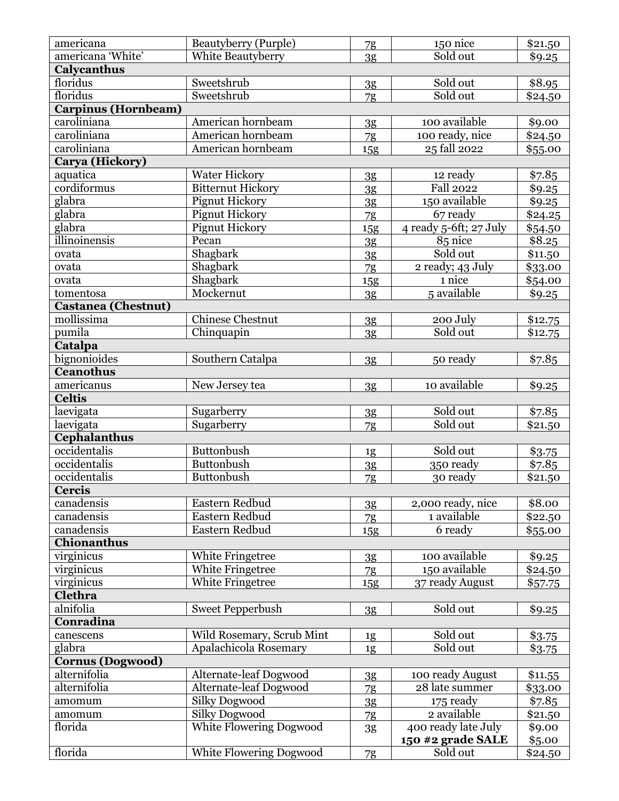| americana                  | Beautyberry (Purple)                        | 7g             | 150 nice               | \$21.50          |
|----------------------------|---------------------------------------------|----------------|------------------------|------------------|
| americana 'White'          | White Beautyberry                           | 3 <sub>g</sub> | Sold out               | \$9.25           |
| Calycanthus                |                                             |                |                        |                  |
| floridus                   | Sweetshrub                                  | 3g             | Sold out               | $\frac{8.95}{8}$ |
| floridus                   | Sweetshrub                                  | 7g             | Sold out               | \$24.50          |
| Carpinus (Hornbeam)        |                                             |                |                        |                  |
| caroliniana                | American hornbeam                           | 3g             | 100 available          | \$9.00           |
| caroliniana                | American hornbeam                           | 7g             | 100 ready, nice        | \$24.50          |
| caroliniana                | American hornbeam                           | 15g            | 25 fall 2022           | \$55.00          |
| Carya (Hickory)            |                                             |                |                        |                  |
| aquatica                   | <b>Water Hickory</b>                        | 3 <sub>g</sub> | 12 ready               | \$7.85           |
| cordiformus                | <b>Bitternut Hickory</b>                    | 3 <sub>g</sub> | <b>Fall 2022</b>       | \$9.25           |
| glabra                     | Pignut Hickory                              | 3g             | 150 available          | \$9.25           |
| glabra                     | Pignut Hickory                              | 7g             | 67 ready               | \$24.25          |
| glabra                     | Pignut Hickory                              | 15g            | 4 ready 5-6ft; 27 July | \$54.50          |
| illinoinensis              | Pecan                                       | 3 <sub>g</sub> | 85 nice                | 8.25             |
| ovata                      | Shagbark                                    | 3 <sub>g</sub> | Sold out               | \$11.50          |
| ovata                      | Shagbark                                    | 7g             | 2 ready; 43 July       | \$33.00          |
| ovata                      | Shagbark                                    | <b>15g</b>     | 1 nice                 | \$54.00          |
| tomentosa                  | Mockernut                                   | 3 <sub>g</sub> | 5 available            | \$9.25           |
| <b>Castanea (Chestnut)</b> |                                             |                |                        |                  |
| mollissima                 | <b>Chinese Chestnut</b>                     | 3 <sub>g</sub> | 200 July               | \$12.75          |
| pumila                     | Chinquapin                                  | 3 <sub>g</sub> | Sold out               | \$12.75          |
| Catalpa                    |                                             |                |                        |                  |
| bignonioides               | Southern Catalpa                            | 3 <sub>g</sub> | 50 ready               | \$7.85           |
| <b>Ceanothus</b>           |                                             |                |                        |                  |
| americanus                 | New Jersey tea                              |                | 10 available           | \$9.25           |
| <b>Celtis</b>              |                                             | 3 <sub>g</sub> |                        |                  |
| laevigata                  | Sugarberry                                  |                | Sold out               | \$7.85           |
| laevigata                  | Sugarberry                                  | 3g             | Sold out               | \$21.50          |
| Cephalanthus               |                                             | 7g             |                        |                  |
| occidentalis               | Buttonbush                                  |                | Sold out               | \$3.75           |
| occidentalis               | <b>Buttonbush</b>                           | 1g             | 350 ready              | \$7.85           |
| occidentalis               | Buttonbush                                  | 3g             | 30 ready               |                  |
| Cercis                     |                                             | 7g             |                        | \$21.50          |
| canadensis                 | Eastern Redbud                              |                | 2,000 ready, nice      | \$8.00           |
| canadensis                 | Eastern Redbud                              | 3g             | 1 available            |                  |
| canadensis                 | Eastern Redbud                              | 7g             | 6 ready                | \$22.50          |
| <b>Chionanthus</b>         |                                             | 15g            |                        | \$55.00          |
|                            |                                             |                | 100 available          |                  |
| virginicus                 | <b>White Fringetree</b><br>White Fringetree | 3g             | 150 available          | \$9.25           |
| virginicus                 | White Fringetree                            | 7g             |                        | \$24.50          |
| virginicus<br>Clethra      |                                             | 15g            | 37 ready August        | \$57.75          |
| alnifolia                  |                                             |                |                        |                  |
| Conradina                  | <b>Sweet Pepperbush</b>                     | 3 <sub>g</sub> | Sold out               | \$9.25           |
|                            |                                             |                |                        |                  |
| canescens                  | Wild Rosemary, Scrub Mint                   | 1g             | Sold out               | \$3.75           |
| glabra                     | Apalachicola Rosemary                       | 1g             | Sold out               | \$3.75           |
| <b>Cornus (Dogwood)</b>    |                                             |                |                        |                  |
| alternifolia               | Alternate-leaf Dogwood                      | 3g             | 100 ready August       | \$11.55          |
| alternifolia               | Alternate-leaf Dogwood                      | 7g             | 28 late summer         | \$33.00          |
| amomum                     | <b>Silky Dogwood</b>                        | 3 <sub>g</sub> | 175 ready              | \$7.85           |
| amomum                     | <b>Silky Dogwood</b>                        | 7g             | 2 available            | \$21.50          |
| florida                    | <b>White Flowering Dogwood</b>              | 3g             | 400 ready late July    | \$9.00           |
|                            |                                             |                | 150 #2 grade SALE      | \$5.00           |
| florida                    | White Flowering Dogwood                     | 7g             | Sold out               | \$24.50          |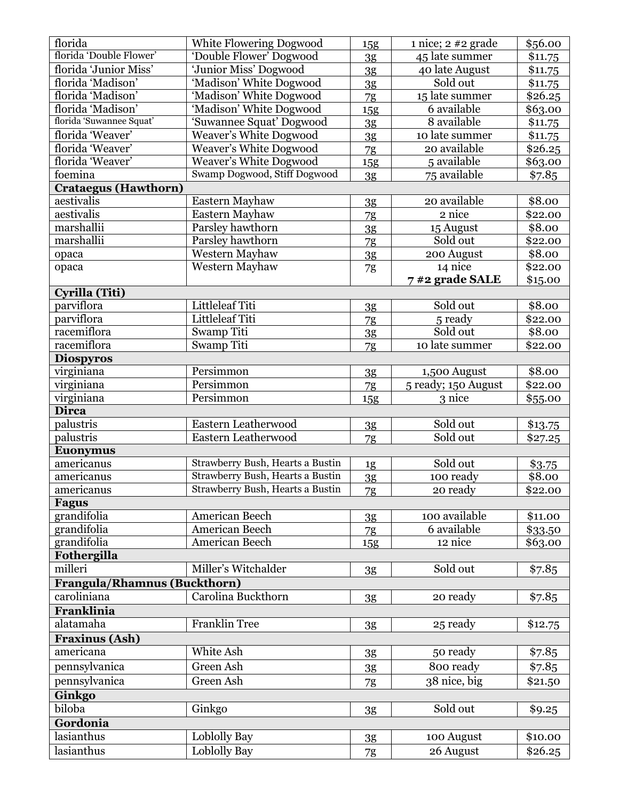| florida                                            | White Flowering Dogwood          | 15g            | $1$ nice; $2 \#2$ grade | \$56.00            |
|----------------------------------------------------|----------------------------------|----------------|-------------------------|--------------------|
| florida 'Double Flower'                            | Double Flower' Dogwood           | 3 <sub>g</sub> | 45 late summer          | \$11.75            |
| florida 'Junior Miss'                              | 'Junior Miss' Dogwood            | 3 <sub>g</sub> | 40 late August          | \$11.75            |
| florida 'Madison'                                  | 'Madison' White Dogwood          | 3 <sub>g</sub> | Sold out                | \$11.75            |
| florida 'Madison'                                  | 'Madison' White Dogwood          | 7g             | 15 late summer          | \$26.25            |
| florida 'Madison'                                  | 'Madison' White Dogwood          | 15g            | 6 available             | \$63.00            |
| florida 'Suwannee Squat'                           | 'Suwannee Squat' Dogwood         | 3 <sub>g</sub> | 8 available             | \$11.75            |
| florida 'Weaver'                                   | <b>Weaver's White Dogwood</b>    | 3 <sub>g</sub> | 10 late summer          | \$11.75            |
| florida 'Weaver'                                   | <b>Weaver's White Dogwood</b>    | 7g             | 20 available            | \$26.25            |
| florida 'Weaver'                                   | <b>Weaver's White Dogwood</b>    | 15g            | 5 available             | \$63.00            |
| foemina                                            | Swamp Dogwood, Stiff Dogwood     | 3 <sub>g</sub> | 75 available            | \$7.85             |
| <b>Crataegus (Hawthorn)</b>                        |                                  |                |                         |                    |
| aestivalis                                         | Eastern Mayhaw                   | 3g             | 20 available            | \$8.00             |
| aestivalis                                         | Eastern Mayhaw                   | 7g             | 2 nice                  | \$22.00            |
| marshallii                                         | Parsley hawthorn                 | 3g             | 15 August               | \$8.00             |
| marshallii                                         | Parsley hawthorn                 | 7 <sub>g</sub> | Sold out                | \$22.00            |
| opaca                                              | Western Mayhaw                   | 3 <sub>g</sub> | 200 August              | \$8.00             |
| opaca                                              | Western Mayhaw                   | 7g             | 14 nice                 | \$22.00            |
|                                                    |                                  |                | 7#2 grade SALE          | \$15.00            |
| Cyrilla (Titi)                                     |                                  |                |                         |                    |
| parviflora                                         | Littleleaf Titi                  | 3 <sub>g</sub> | Sold out                | \$8.00             |
| parviflora                                         | Littleleaf Titi                  | 7g             | 5 ready                 | \$22.00            |
| racemiflora                                        | Swamp Titi                       | 3 <sub>g</sub> | Sold out                | \$8.00             |
| racemiflora                                        | Swamp Titi                       | 7g             | 10 late summer          | \$22.00            |
| <b>Diospyros</b>                                   |                                  |                |                         |                    |
| virginiana                                         | Persimmon                        | 3 <sub>g</sub> | 1,500 August            | \$8.00             |
| virginiana                                         | Persimmon                        | 7g             | 5 ready; 150 August     | \$22.00            |
|                                                    |                                  |                |                         |                    |
|                                                    |                                  |                |                         |                    |
| virginiana<br><b>Dirca</b>                         | Persimmon                        | 15g            | 3 nice                  | \$55.00            |
| palustris                                          | Eastern Leatherwood              |                | Sold out                |                    |
| palustris                                          | Eastern Leatherwood              | 3g             | Sold out                | \$13.75            |
|                                                    |                                  | 7g             |                         | \$27.25            |
| <b>Euonymus</b><br>americanus                      | Strawberry Bush, Hearts a Bustin |                | Sold out                |                    |
| americanus                                         | Strawberry Bush, Hearts a Bustin | 1g             | 100 ready               | \$3.75<br>\$8.00   |
| americanus                                         | Strawberry Bush, Hearts a Bustin | 3 <sub>g</sub> |                         |                    |
| <b>Fagus</b>                                       |                                  | 7g             | $20$ ready              | \$22.00            |
| grandifolia                                        | American Beech                   |                | 100 available           | \$11.00            |
| grandifolia                                        | American Beech                   | 3g             | 6 available             |                    |
| grandifolia                                        | American Beech                   | 7g             | 12 nice                 | \$33.50<br>\$63.00 |
| Fothergilla                                        |                                  | <b>15g</b>     |                         |                    |
| milleri                                            | Miller's Witchalder              |                | Sold out                | \$7.85             |
|                                                    |                                  | 3g             |                         |                    |
| <b>Frangula/Rhamnus (Buckthorn)</b><br>caroliniana |                                  |                |                         |                    |
|                                                    | Carolina Buckthorn               | 3g             | 20 ready                | \$7.85             |
| Franklinia                                         |                                  |                |                         |                    |
| alatamaha                                          | Franklin Tree                    | 3g             | 25 ready                | \$12.75            |
| <b>Fraxinus (Ash)</b>                              |                                  |                |                         |                    |
| americana                                          | White Ash                        | 3g             | 50 ready                | \$7.85             |
| pennsylvanica                                      | Green Ash                        | 3g             | 800 ready               | \$7.85             |
| pennsylvanica                                      | Green Ash                        | 7g             | $38$ nice, big          | \$21.50            |
| Ginkgo                                             |                                  |                |                         |                    |
| biloba                                             | Ginkgo                           | 3g             | Sold out                | \$9.25             |
| Gordonia                                           |                                  |                |                         |                    |
| lasianthus<br>lasianthus                           | Loblolly Bay<br>Loblolly Bay     | 3g<br>7g       | 100 August<br>26 August | \$10.00<br>\$26.25 |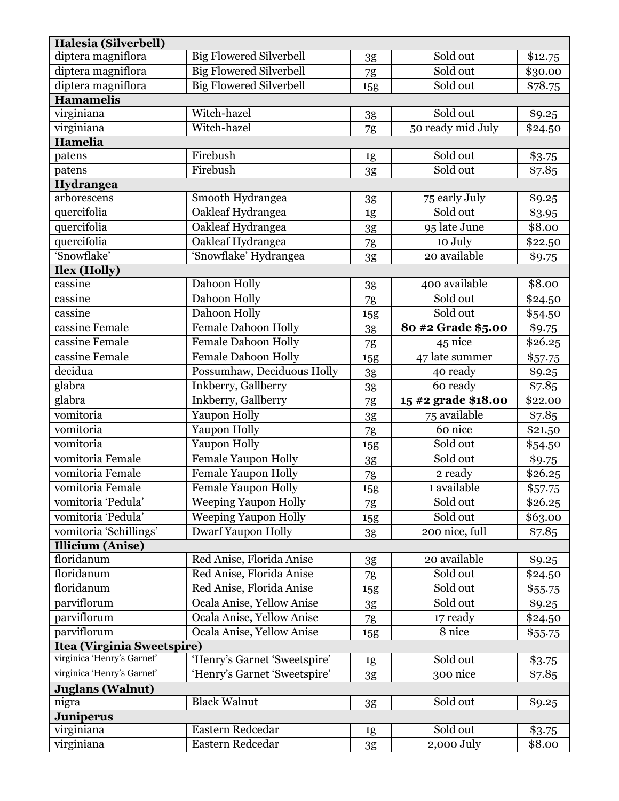| Halesia (Silverbell)              |                                      |               |                        |                    |
|-----------------------------------|--------------------------------------|---------------|------------------------|--------------------|
| diptera magniflora                | <b>Big Flowered Silverbell</b>       | 3g            | Sold out               | \$12.75            |
| diptera magniflora                | <b>Big Flowered Silverbell</b>       | 7g            | Sold out               | \$30.00            |
| diptera magniflora                | <b>Big Flowered Silverbell</b>       | 15g           | Sold out               | \$78.75            |
| <b>Hamamelis</b>                  |                                      |               |                        |                    |
| virginiana                        | Witch-hazel                          | 3g            | Sold out               | \$9.25             |
| virginiana                        | Witch-hazel                          | 7g            | 50 ready mid July      | \$24.50            |
| <b>Hamelia</b>                    |                                      |               |                        |                    |
| patens                            | Firebush                             | 1g            | Sold out               | \$3.75             |
| patens                            | Firebush                             | 3g            | Sold out               | \$7.85             |
| Hydrangea                         |                                      |               |                        |                    |
| arborescens                       | Smooth Hydrangea                     | 3g            | 75 early July          | \$9.25             |
| quercifolia                       | Oakleaf Hydrangea                    | 1g            | Sold out               | \$3.95             |
| quercifolia                       | Oakleaf Hydrangea                    | 3g            | 95 late June           | $\overline{$8.00}$ |
| quercifolia                       | Oakleaf Hydrangea                    | 7g            | 10 July                | \$22.50            |
| 'Snowflake'                       | 'Snowflake' Hydrangea                | 3g            | 20 available           | \$9.75             |
| Ilex (Holly)                      |                                      |               |                        |                    |
| cassine                           | Dahoon Holly                         | 3g            | 400 available          | \$8.00             |
| cassine                           | Dahoon Holly                         | $7\mathrm{g}$ | Sold out               | \$24.50            |
| cassine                           | Dahoon Holly                         | 15g           | Sold out               | \$54.50            |
| cassine Female                    | Female Dahoon Holly                  | 3g            | 80 #2 Grade \$5.00     | \$9.75             |
| cassine Female                    | Female Dahoon Holly                  | 7g            | 45 nice                | \$26.25            |
| cassine Female                    | <b>Female Dahoon Holly</b>           | 15g           | 47 late summer         | \$57.75            |
| decidua                           | Possumhaw, Deciduous Holly           | 3g            | 40 ready               | \$9.25             |
| glabra                            | Inkberry, Gallberry                  | 3g            | 60 ready               | \$7.85             |
|                                   |                                      |               |                        |                    |
| glabra                            | Inkberry, Gallberry                  | 7g            | 15 #2 grade \$18.00    | \$22.00            |
| vomitoria                         | Yaupon Holly                         | 3g            | 75 available           | \$7.85             |
| vomitoria                         | Yaupon Holly                         | 7g            | 60 nice                | \$21.50            |
| vomitoria                         | Yaupon Holly                         | <b>15g</b>    | Sold out               | \$54.50            |
| vomitoria Female                  | Female Yaupon Holly                  | 3g            | Sold out               | \$9.75             |
| vomitoria Female                  | Female Yaupon Holly                  | 7g            | 2 ready                | \$26.25            |
| vomitoria Female                  | Female Yaupon Holly                  | 15g           | 1 available            | \$57.75            |
| vomitoria 'Pedula'                | <b>Weeping Yaupon Holly</b>          | 7g            | Sold out               | \$26.25            |
| vomitoria 'Pedula'                | <b>Weeping Yaupon Holly</b>          | <b>15g</b>    | Sold out               | \$63.00            |
| vomitoria 'Schillings'            | <b>Dwarf Yaupon Holly</b>            | 3g            | 200 nice, full         | \$7.85             |
| <b>Illicium</b> (Anise)           |                                      |               |                        |                    |
| floridanum                        | Red Anise, Florida Anise             | 3g            | 20 available           | \$9.25             |
| floridanum                        | Red Anise, Florida Anise             | 7g            | Sold out               | \$24.50            |
| floridanum                        | Red Anise, Florida Anise             | 15g           | Sold out               | \$55.75            |
| parviflorum                       | Ocala Anise, Yellow Anise            | 3g            | Sold out               | \$9.25             |
| parviflorum                       | Ocala Anise, Yellow Anise            | 7g            | 17 ready               | \$24.50            |
| parviflorum                       | Ocala Anise, Yellow Anise            | <b>15g</b>    | 8 nice                 | \$55.75            |
| <b>Itea (Virginia Sweetspire)</b> |                                      |               |                        |                    |
| virginica 'Henry's Garnet'        | 'Henry's Garnet 'Sweetspire'         | 1g            | Sold out               | \$3.75             |
| virginica 'Henry's Garnet'        | 'Henry's Garnet 'Sweetspire'         | 3g            | 300 nice               | \$7.85             |
| <b>Juglans (Walnut)</b>           |                                      |               |                        |                    |
| nigra                             | <b>Black Walnut</b>                  | 3g            | Sold out               | \$9.25             |
| <b>Juniperus</b>                  |                                      |               |                        |                    |
| virginiana<br>virginiana          | Eastern Redcedar<br>Eastern Redcedar | 1g<br>3g      | Sold out<br>2,000 July | \$3.75<br>\$8.00   |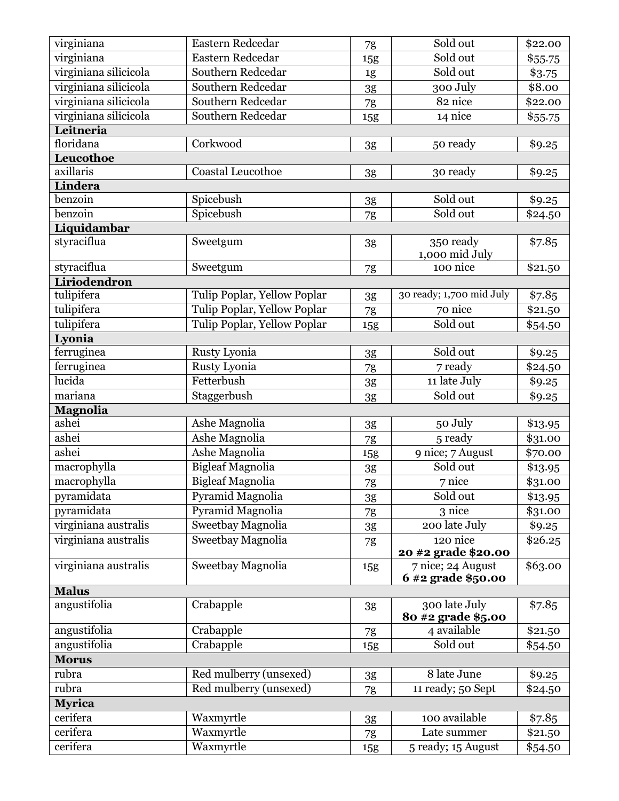| virginiana               | Eastern Redcedar               | 7g            | Sold out                                | \$22.00            |
|--------------------------|--------------------------------|---------------|-----------------------------------------|--------------------|
| virginiana               | Eastern Redcedar               | 15g           | Sold out                                | \$55.75            |
| virginiana silicicola    | Southern Redcedar              | 1g            | Sold out                                | \$3.75             |
| virginiana silicicola    | Southern Redcedar              | 3g            | 300 July                                | \$8.00             |
| virginiana silicicola    | Southern Redcedar              | 7g            | 82 nice                                 | \$22.00            |
| virginiana silicicola    | Southern Redcedar              | <b>15g</b>    | 14 nice                                 | \$55.75            |
| Leitneria                |                                |               |                                         |                    |
| floridana                | Corkwood                       | 3g            | 50 ready                                | \$9.25             |
| Leucothoe                |                                |               |                                         |                    |
| axillaris                | Coastal Leucothoe              | 3g            | 30 ready                                | \$9.25             |
| Lindera                  |                                |               |                                         |                    |
| benzoin                  | Spicebush                      | 3g            | Sold out                                | \$9.25             |
| benzoin                  | Spicebush                      | 7g            | Sold out                                | \$24.50            |
| Liquidambar              |                                |               |                                         |                    |
| styraciflua              | Sweetgum                       | 3g            | 350 ready<br>1,000 mid July             | \$7.85             |
| styraciflua              | Sweetgum                       | 7g            | 100 nice                                | \$21.50            |
| Liriodendron             |                                |               |                                         |                    |
| tulipifera               | Tulip Poplar, Yellow Poplar    | 3g            | 30 ready; 1,700 mid July                | \$7.85             |
| tulipifera               | Tulip Poplar, Yellow Poplar    | 7g            | 70 nice                                 | \$21.50            |
| tulipifera               | Tulip Poplar, Yellow Poplar    | 15g           | Sold out                                | \$54.50            |
| Lyonia                   |                                |               |                                         |                    |
| ferruginea               | Rusty Lyonia                   | 3g            | Sold out                                | \$9.25             |
| ferruginea               | Rusty Lyonia                   | 7g            | 7 ready                                 | \$24.50            |
| lucida                   | Fetterbush                     | 3g            | 11 late July                            | \$9.25             |
| mariana                  | Staggerbush                    | 3g            | Sold out                                | \$9.25             |
| <b>Magnolia</b><br>ashei |                                |               |                                         |                    |
| ashei                    | Ashe Magnolia<br>Ashe Magnolia | 3g            | 50 July                                 | \$13.95            |
| ashei                    | Ashe Magnolia                  | 7g            | 5 ready                                 | \$31.00<br>\$70.00 |
| macrophylla              | <b>Bigleaf Magnolia</b>        | 15g           | 9 nice; 7 August<br>Sold out            |                    |
| macrophylla              | <b>Bigleaf Magnolia</b>        | $3\mathrm{g}$ | 7 nice                                  | \$13.95            |
| pyramidata               | Pyramid Magnolia               | 7g            | Sold out                                | \$31.00            |
| pyramidata               | Pyramid Magnolia               | 3g            |                                         | \$13.95            |
|                          |                                |               |                                         |                    |
|                          |                                | 7g            | 3 nice                                  | \$31.00            |
| virginiana australis     | <b>Sweetbay Magnolia</b>       | 3g            | 200 late July                           | \$9.25             |
| virginiana australis     | Sweetbay Magnolia              | 7g            | 120 nice                                | \$26.25            |
|                          |                                |               | 20 #2 grade \$20.00                     |                    |
| virginiana australis     | Sweetbay Magnolia              | <b>15g</b>    | 7 nice; 24 August<br>6 #2 grade \$50.00 | \$63.00            |
| <b>Malus</b>             |                                |               |                                         |                    |
| angustifolia             | Crabapple                      | 3g            | 300 late July<br>80 #2 grade \$5.00     | \$7.85             |
| angustifolia             | Crabapple                      | 7g            | 4 available                             | \$21.50            |
| angustifolia             | Crabapple                      | <b>15g</b>    | Sold out                                | \$54.50            |
| <b>Morus</b>             |                                |               |                                         |                    |
| rubra                    | Red mulberry (unsexed)         | 3g            | 8 late June                             | \$9.25             |
| rubra                    | Red mulberry (unsexed)         | 7g            | 11 ready; 50 Sept                       | \$24.50            |
| <b>Myrica</b>            |                                |               |                                         |                    |
| cerifera                 | Waxmyrtle                      | 3g            | 100 available                           | \$7.85             |
| cerifera<br>cerifera     | Waxmyrtle<br>Waxmyrtle         | 7g            | Late summer                             | \$21.50            |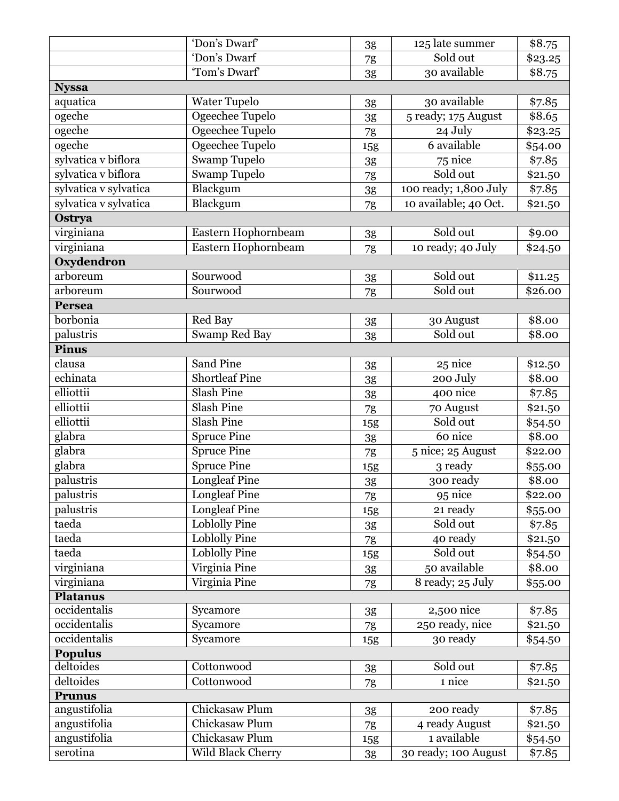|                       | 'Don's Dwarf'         | 3g         | 125 late summer       | \$8.75         |
|-----------------------|-----------------------|------------|-----------------------|----------------|
|                       | 'Don's Dwarf          | 7g         | Sold out              | \$23.25        |
|                       | 'Tom's Dwarf'         | 3g         | 30 available          | \$8.75         |
| <b>Nyssa</b>          |                       |            |                       |                |
| aquatica              | <b>Water Tupelo</b>   | 3g         | 30 available          | \$7.85         |
| ogeche                | Ogeechee Tupelo       | 3g         | 5 ready; 175 August   | \$8.65         |
| ogeche                | Ogeechee Tupelo       | 7g         | 24 July               | \$23.25        |
| ogeche                | Ogeechee Tupelo       | 15g        | 6 available           | \$54.00        |
| sylvatica v biflora   | <b>Swamp Tupelo</b>   | 3g         | 75 nice               | $\sqrt{$7.85}$ |
| sylvatica v biflora   | <b>Swamp Tupelo</b>   | 7g         | Sold out              | \$21.50        |
| sylvatica v sylvatica | Blackgum              | 3g         | 100 ready; 1,800 July | \$7.85         |
| sylvatica v sylvatica | Blackgum              | 7g         | 10 available; 40 Oct. | \$21.50        |
| Ostrya                |                       |            |                       |                |
| virginiana            | Eastern Hophornbeam   | 3g         | Sold out              | \$9.00         |
| virginiana            | Eastern Hophornbeam   | 7g         | 10 ready; 40 July     | \$24.50        |
| Oxydendron            |                       |            |                       |                |
| arboreum              | Sourwood              | 3g         | Sold out              | \$11.25        |
| arboreum              | Sourwood              | 7g         | Sold out              | \$26.00        |
| <b>Persea</b>         |                       |            |                       |                |
| borbonia              | Red Bay               | 3g         | 30 August             | \$8.00         |
| palustris             | <b>Swamp Red Bay</b>  | 3g         | Sold out              | \$8.00         |
| <b>Pinus</b>          |                       |            |                       |                |
| clausa                | Sand Pine             | 3g         | 25 nice               | \$12.50        |
| echinata              | <b>Shortleaf Pine</b> | 3g         | 200 July              | \$8.00         |
| elliottii             | <b>Slash Pine</b>     | 3g         | 400 nice              | \$7.85         |
| elliottii             | <b>Slash Pine</b>     | 7g         | 70 August             | \$21.50        |
| elliottii             | <b>Slash Pine</b>     | 15g        | Sold out              | \$54.50        |
| glabra                | <b>Spruce Pine</b>    | 3g         | 60 nice               | \$8.00         |
| glabra                | <b>Spruce Pine</b>    | 7g         | 5 nice; 25 August     | \$22.00        |
| glabra                | <b>Spruce Pine</b>    | 15g        | 3 ready               | \$55.00        |
| palustris             | <b>Longleaf Pine</b>  | 3g         | 300 ready             | \$8.00         |
| palustris             | <b>Longleaf Pine</b>  | 7g         | 95 nice               | \$22.00        |
| palustris             | <b>Longleaf Pine</b>  | <b>15g</b> | 21 ready              | \$55.00        |
| taeda                 | <b>Loblolly Pine</b>  | 3g         | Sold out              | \$7.85         |
| taeda                 | <b>Loblolly Pine</b>  | 7g         | 40 ready              | \$21.50        |
| taeda                 | <b>Loblolly Pine</b>  | <b>15g</b> | Sold out              | \$54.50        |
| virginiana            | Virginia Pine         | 3g         | 50 available          | \$8.00         |
| virginiana            | Virginia Pine         | 7g         | 8 ready; 25 July      | \$55.00        |
| <b>Platanus</b>       |                       |            |                       |                |
| occidentalis          | Sycamore              | 3g         | 2,500 nice            | \$7.85         |
| occidentalis          | Sycamore              | 7g         | 250 ready, nice       | \$21.50        |
| occidentalis          | Sycamore              | <b>15g</b> | 30 ready              | \$54.50        |
| <b>Populus</b>        |                       |            |                       |                |
| deltoides             | Cottonwood            | 3g         | Sold out              | \$7.85         |
| deltoides             | Cottonwood            | 7g         | 1 nice                | \$21.50        |
| <b>Prunus</b>         |                       |            |                       |                |
| angustifolia          | Chickasaw Plum        | 3g         | 200 ready             | \$7.85         |
| angustifolia          | Chickasaw Plum        | 7g         | 4 ready August        | \$21.50        |
| angustifolia          | Chickasaw Plum        | 15g        | 1 available           | \$54.50        |
| serotina              | Wild Black Cherry     | 3g         | 30 ready; 100 August  | \$7.85         |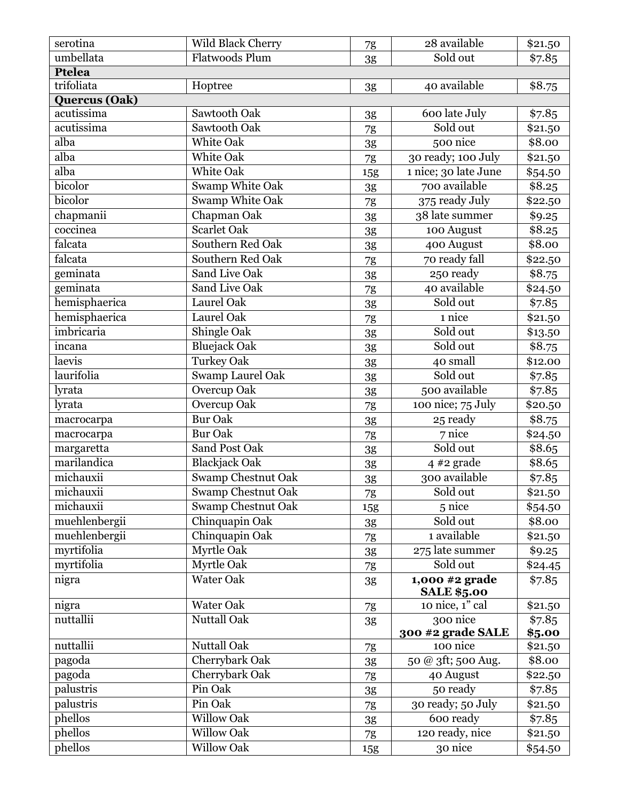| serotina       | Wild Black Cherry         | 7g            | 28 available         | \$21.50 |
|----------------|---------------------------|---------------|----------------------|---------|
| umbellata      | <b>Flatwoods Plum</b>     | 3g            | Sold out             | \$7.85  |
| <b>Ptelea</b>  |                           |               |                      |         |
| trifoliata     | Hoptree                   | 3g            | 40 available         | \$8.75  |
| Quercus (Oak)  |                           |               |                      |         |
| acutissima     | Sawtooth Oak              | 3g            | 600 late July        | \$7.85  |
| acutissima     | Sawtooth Oak              | 7g            | Sold out             | \$21.50 |
| alba           | White Oak                 | $3\mathrm{g}$ | 500 nice             | \$8.00  |
| alba           | <b>White Oak</b>          | 7g            | 30 ready; 100 July   | \$21.50 |
| alba           | White Oak                 | 15g           | 1 nice; 30 late June | \$54.50 |
| bicolor        | Swamp White Oak           | 3g            | 700 available        | \$8.25  |
| <b>bicolor</b> | Swamp White Oak           | 7g            | 375 ready July       | \$22.50 |
| chapmanii      | Chapman Oak               | 3g            | 38 late summer       | \$9.25  |
| coccinea       | Scarlet Oak               | 3g            | 100 August           | \$8.25  |
| falcata        | Southern Red Oak          | 3g            | 400 August           | \$8.00  |
| falcata        | Southern Red Oak          | $7\mathrm{g}$ | 70 ready fall        | \$22.50 |
| geminata       | Sand Live Oak             | 3g            | 250 ready            | \$8.75  |
| geminata       | Sand Live Oak             | 7g            | 40 available         | \$24.50 |
| hemisphaerica  | Laurel Oak                | 3g            | Sold out             | \$7.85  |
| hemisphaerica  | Laurel Oak                | 7g            | 1 nice               | \$21.50 |
| imbricaria     | Shingle Oak               | 3g            | Sold out             | \$13.50 |
| incana         | <b>Bluejack Oak</b>       | 3g            | Sold out             | \$8.75  |
| laevis         | <b>Turkey Oak</b>         | 3g            | 40 small             | \$12.00 |
| laurifolia     | <b>Swamp Laurel Oak</b>   | 3g            | Sold out             | \$7.85  |
| lyrata         | Overcup Oak               | 3g            | 500 available        | \$7.85  |
| lyrata         | Overcup Oak               | $7\mathrm{g}$ | 100 nice; 75 July    | \$20.50 |
| macrocarpa     | <b>Bur Oak</b>            | 3g            | 25 ready             | \$8.75  |
| macrocarpa     | <b>Bur Oak</b>            | 7g            | 7 nice               | \$24.50 |
| margaretta     | Sand Post Oak             | 3g            | Sold out             | \$8.65  |
| marilandica    | <b>Blackjack Oak</b>      | 3g            | $4 \#2$ grade        | \$8.65  |
| michauxii      | Swamp Chestnut Oak        | 3g            | 300 available        | \$7.85  |
| michauxii      | <b>Swamp Chestnut Oak</b> | 7g            | Sold out             | \$21.50 |
| michauxii      | Swamp Chestnut Oak        | 15g           | 5 nice               | \$54.50 |
| muehlenbergii  | Chinquapin Oak            | 3g            | Sold out             | \$8.00  |
| muehlenbergii  | Chinquapin Oak            | 7g            | 1 available          | \$21.50 |
| myrtifolia     | Myrtle Oak                | 3g            | 275 late summer      | \$9.25  |
| myrtifolia     | Myrtle Oak                | 7g            | Sold out             | \$24.45 |
| nigra          | Water Oak                 | 3g            | 1,000 #2 grade       | \$7.85  |
|                |                           |               | <b>SALE \$5.00</b>   |         |
| nigra          | Water Oak                 | $7\mathrm{g}$ | 10 nice, 1" cal      | \$21.50 |
| nuttallii      | Nuttall Oak               | 3g            | 300 nice             | \$7.85  |
|                |                           |               | 300 #2 grade SALE    | \$5.00  |
| nuttallii      | <b>Nuttall Oak</b>        | 7g            | 100 nice             | \$21.50 |
| pagoda         | Cherrybark Oak            | 3g            | 50 @ 3ft; 500 Aug.   | \$8.00  |
| pagoda         | Cherrybark Oak            | $7\mathrm{g}$ | 40 August            | \$22.50 |
| palustris      | Pin Oak                   | 3g            | 50 ready             | \$7.85  |
| palustris      | Pin Oak                   | 7g            | 30 ready; 50 July    | \$21.50 |
| phellos        | <b>Willow Oak</b>         | 3g            | 600 ready            | \$7.85  |
| phellos        | <b>Willow Oak</b>         | 7g            | 120 ready, nice      | \$21.50 |
| phellos        | <b>Willow Oak</b>         | <b>15g</b>    | 30 nice              | \$54.50 |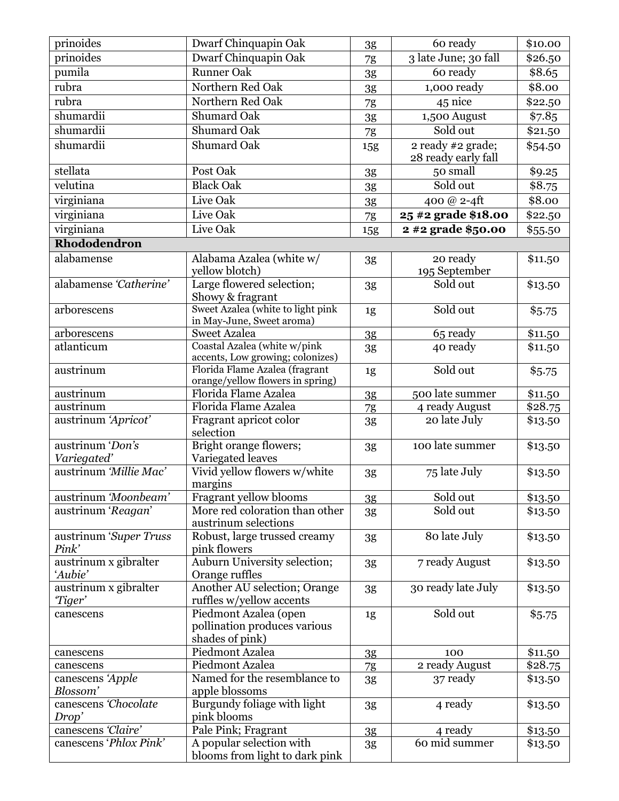| prinoides                        | Dwarf Chinquapin Oak                                                     | 3g             | 60 ready                                 | \$10.00 |
|----------------------------------|--------------------------------------------------------------------------|----------------|------------------------------------------|---------|
| prinoides                        | Dwarf Chinquapin Oak                                                     | 7g             | 3 late June; 30 fall                     | \$26.50 |
| pumila                           | <b>Runner Oak</b>                                                        | 3g             | 60 ready                                 | \$8.65  |
| rubra                            | Northern Red Oak                                                         | 3g             | 1,000 ready                              | \$8.00  |
| rubra                            | Northern Red Oak                                                         | 7g             | 45 nice                                  | \$22.50 |
| shumardii                        | <b>Shumard Oak</b>                                                       | $3\mathrm{g}$  | 1,500 August                             | \$7.85  |
| shumardii                        | Shumard Oak                                                              |                | Sold out                                 | \$21.50 |
| shumardii                        | <b>Shumard Oak</b>                                                       | 7g             |                                          |         |
|                                  |                                                                          | 15g            | 2 ready #2 grade;<br>28 ready early fall | \$54.50 |
| stellata                         | Post Oak                                                                 | 3g             | 50 small                                 | \$9.25  |
| velutina                         | <b>Black Oak</b>                                                         | 3g             | Sold out                                 | \$8.75  |
| virginiana                       | Live Oak                                                                 | 3g             | 400 @ $2-4ft$                            | \$8.00  |
| virginiana                       | Live Oak                                                                 | 7g             | 25 #2 grade \$18.00                      | \$22.50 |
| virginiana                       | Live Oak                                                                 | 15g            | 2 #2 grade \$50.00                       | \$55.50 |
| Rhododendron                     |                                                                          |                |                                          |         |
| alabamense                       | Alabama Azalea (white w/<br>yellow blotch)                               | 3g             | 20 ready<br>195 September                | \$11.50 |
| alabamense 'Catherine'           | Large flowered selection;<br>Showy & fragrant                            | 3g             | Sold out                                 | \$13.50 |
| arborescens                      | Sweet Azalea (white to light pink<br>in May-June, Sweet aroma)           | 1g             | Sold out                                 | \$5.75  |
| arborescens                      | <b>Sweet Azalea</b>                                                      | 3 <sub>g</sub> | 65 ready                                 | \$11.50 |
| atlanticum                       | Coastal Azalea (white w/pink<br>accents, Low growing; colonizes)         | 3g             | 40 ready                                 | \$11.50 |
| austrinum                        | Florida Flame Azalea (fragrant<br>orange/yellow flowers in spring)       | 1g             | Sold out                                 | \$5.75  |
| austrinum                        | Florida Flame Azalea                                                     | 3g             | 500 late summer                          | \$11.50 |
| austrinum                        | Florida Flame Azalea                                                     | 7g             | 4 ready August                           | \$28.75 |
| austrinum 'Apricot'              | Fragrant apricot color<br>selection                                      | 3g             | 20 late July                             | \$13.50 |
| austrinum 'Don's<br>Variegated'  | Bright orange flowers;<br>Variegated leaves                              | 3g             | 100 late summer                          | \$13.50 |
| austrinum 'Millie Mac'           | Vivid yellow flowers w/white<br>margins                                  | 3g             | 75 late July                             | \$13.50 |
| austrinum 'Moonbeam'             | Fragrant yellow blooms                                                   | 3 <sub>g</sub> | Sold out                                 | \$13.50 |
| austrinum 'Reagan'               | More red coloration than other<br>austrinum selections                   | 3g             | Sold out                                 | \$13.50 |
| austrinum 'Super Truss<br>Pink'  | Robust, large trussed creamy<br>pink flowers                             | 3g             | 80 late July                             | \$13.50 |
| austrinum x gibralter<br>'Aubie' | Auburn University selection;<br>Orange ruffles                           | 3g             | 7 ready August                           | \$13.50 |
| austrinum x gibralter<br>"Tiger" | Another AU selection; Orange<br>ruffles w/yellow accents                 | 3g             | 30 ready late July                       | \$13.50 |
| canescens                        | Piedmont Azalea (open<br>pollination produces various<br>shades of pink) | 1g             | Sold out                                 | \$5.75  |
| canescens                        | Piedmont Azalea                                                          | 3 <sub>g</sub> | 100                                      | \$11.50 |
| canescens                        | Piedmont Azalea                                                          | 7g             | 2 ready August                           | \$28.75 |
| canescens 'Apple<br>Blossom'     | Named for the resemblance to<br>apple blossoms                           | 3g             | 37 ready                                 | \$13.50 |
| canescens 'Chocolate<br>Drop'    | Burgundy foliage with light<br>pink blooms                               | 3g             | 4 ready                                  | \$13.50 |
| canescens 'Claire'               | Pale Pink; Fragrant                                                      | 3g             | 4 ready                                  | \$13.50 |
| canescens 'Phlox Pink'           | A popular selection with                                                 | 3g             | 60 mid summer                            | \$13.50 |
|                                  | blooms from light to dark pink                                           |                |                                          |         |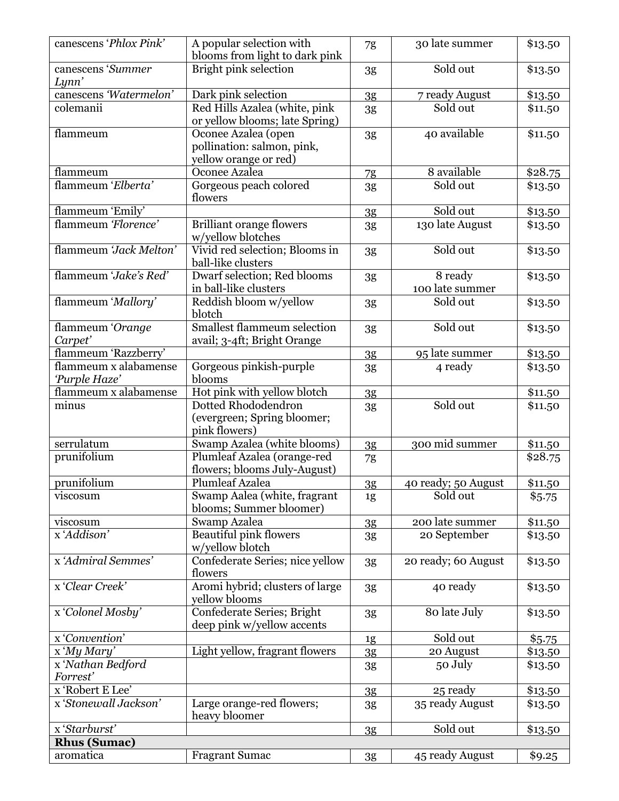| canescens 'Phlox Pink'        | A popular selection with<br>blooms from light to dark pink                 | 7g             | 30 late summer             | \$13.50 |
|-------------------------------|----------------------------------------------------------------------------|----------------|----------------------------|---------|
| canescens 'Summer<br>Lynn'    | <b>Bright pink selection</b>                                               | 3g             | Sold out                   | \$13.50 |
| canescens 'Watermelon'        | Dark pink selection                                                        | 3 <sub>g</sub> | 7 ready August             | \$13.50 |
| colemanii                     | Red Hills Azalea (white, pink<br>or yellow blooms; late Spring)            | 3g             | Sold out                   | \$11.50 |
| flammeum                      | Oconee Azalea (open<br>pollination: salmon, pink,<br>yellow orange or red) | 3g             | 40 available               | \$11.50 |
| flammeum                      | Oconee Azalea                                                              | 7g             | 8 available                | \$28.75 |
| flammeum 'Elberta'            | Gorgeous peach colored<br>flowers                                          | 3g             | Sold out                   | \$13.50 |
| flammeum 'Emily'              |                                                                            | 3g             | Sold out                   | \$13.50 |
| flammeum 'Florence'           | <b>Brilliant orange flowers</b><br>w/yellow blotches                       | 3g             | 130 late August            | \$13.50 |
| flammeum 'Jack Melton'        | Vivid red selection; Blooms in<br>ball-like clusters                       | 3g             | Sold out                   | \$13.50 |
| flammeum 'Jake's Red'         | Dwarf selection; Red blooms<br>in ball-like clusters                       | 3 <sub>g</sub> | 8 ready<br>100 late summer | \$13.50 |
| flammeum 'Mallory'            | Reddish bloom w/yellow<br>blotch                                           | 3g             | Sold out                   | \$13.50 |
| flammeum 'Orange<br>Carpet'   | <b>Smallest flammeum selection</b><br>avail; 3-4ft; Bright Orange          | 3g             | Sold out                   | \$13.50 |
| flammeum 'Razzberry'          |                                                                            | 3 <sub>g</sub> | 95 late summer             | \$13.50 |
| flammeum x alabamense         | Gorgeous pinkish-purple                                                    | 3g             | 4 ready                    | \$13.50 |
| 'Purple Haze'                 | blooms                                                                     |                |                            |         |
| flammeum x alabamense         | Hot pink with yellow blotch                                                | 3 <sub>g</sub> |                            | \$11.50 |
| minus                         | Dotted Rhododendron<br>(evergreen; Spring bloomer;<br>pink flowers)        | 3g             | Sold out                   | \$11.50 |
| serrulatum                    | Swamp Azalea (white blooms)                                                | 3 <sub>g</sub> | 300 mid summer             | \$11.50 |
| prunifolium                   | Plumleaf Azalea (orange-red<br>flowers; blooms July-August)                | 7g             |                            | \$28.75 |
| prunifolium                   | <b>Plumleaf Azalea</b>                                                     | 3 <sub>g</sub> | 40 ready; 50 August        | \$11.50 |
| viscosum                      | Swamp Aalea (white, fragrant<br>blooms; Summer bloomer)                    | 1g             | Sold out                   | \$5.75  |
| viscosum                      | Swamp Azalea                                                               | 3 <sub>g</sub> | 200 late summer            | \$11.50 |
| x'Addison'                    | <b>Beautiful pink flowers</b><br>w/yellow blotch                           | 3g             | 20 September               | \$13.50 |
| x 'Admiral Semmes'            | Confederate Series; nice yellow<br>flowers                                 | 3g             | 20 ready; 60 August        | \$13.50 |
| x 'Clear Creek'               | Aromi hybrid; clusters of large<br>vellow blooms                           | 3g             | 40 ready                   | \$13.50 |
| x 'Colonel Mosby'             | Confederate Series; Bright<br>deep pink w/yellow accents                   | 3g             | 80 late July               | \$13.50 |
| x 'Convention'                |                                                                            | 1g             | Sold out                   | \$5.75  |
| x 'My Mary'                   | Light yellow, fragrant flowers                                             | 3 <sub>g</sub> | 20 August                  | \$13.50 |
| x 'Nathan Bedford<br>Forrest' |                                                                            | 3g             | 50 July                    | \$13.50 |
| x 'Robert E Lee'              |                                                                            | 3g             | 25 ready                   | \$13.50 |
| x 'Stonewall Jackson'         | Large orange-red flowers;<br>heavy bloomer                                 | 3g             | 35 ready August            | \$13.50 |
| x 'Starburst'                 |                                                                            | 3g             | Sold out                   | \$13.50 |
| <b>Rhus (Sumac)</b>           |                                                                            |                |                            |         |
| aromatica                     | <b>Fragrant Sumac</b>                                                      |                | 45 ready August            |         |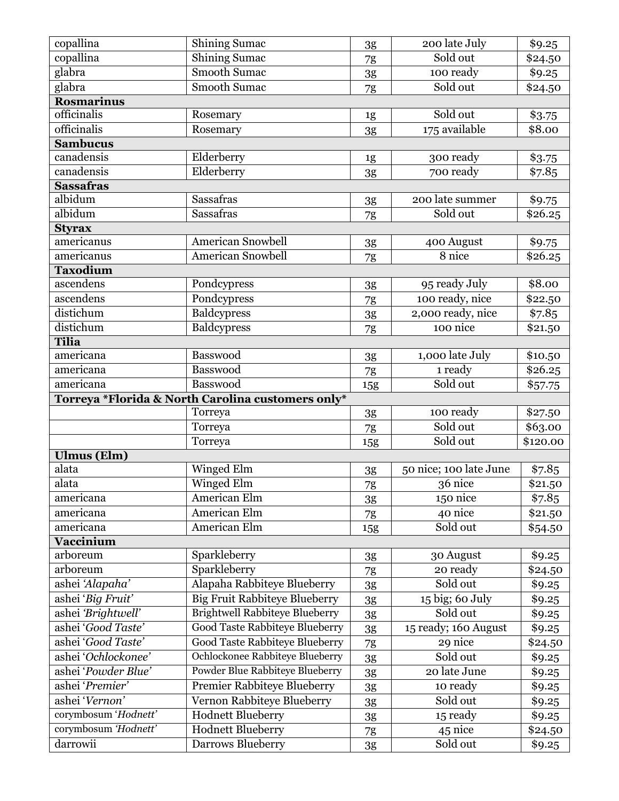| copallina                        | <b>Shining Sumac</b>                              | 3g            | 200 late July          | \$9.25          |
|----------------------------------|---------------------------------------------------|---------------|------------------------|-----------------|
| copallina                        | <b>Shining Sumac</b>                              | 7g            | Sold out               | \$24.50         |
| glabra                           | <b>Smooth Sumac</b>                               | 3g            | 100 ready              | \$9.25          |
| glabra                           | <b>Smooth Sumac</b>                               | 7g            | Sold out               | \$24.50         |
| <b>Rosmarinus</b>                |                                                   |               |                        |                 |
| officinalis                      | Rosemary                                          | 1g            | Sold out               | \$3.75          |
| officinalis                      | Rosemary                                          | 3g            | 175 available          | \$8.00          |
| <b>Sambucus</b>                  |                                                   |               |                        |                 |
| canadensis                       | Elderberry                                        | 1g            | 300 ready              | \$3.75          |
| canadensis                       | Elderberry                                        | 3g            | 700 ready              | \$7.85          |
| <b>Sassafras</b>                 |                                                   |               |                        |                 |
| albidum                          | <b>Sassafras</b>                                  | 3g            | 200 late summer        | \$9.75          |
| albidum                          | Sassafras                                         | 7g            | Sold out               | \$26.25         |
| <b>Styrax</b>                    |                                                   |               |                        |                 |
| americanus                       | <b>American Snowbell</b>                          | 3g            | 400 August             | \$9.75          |
| americanus                       | <b>American Snowbell</b>                          | 7g            | 8 nice                 | \$26.25         |
| <b>Taxodium</b>                  |                                                   |               |                        |                 |
| ascendens                        | Pondcypress                                       | 3g            | 95 ready July          | \$8.00          |
| ascendens                        | Pondcypress                                       | 7g            | 100 ready, nice        | \$22.50         |
| distichum                        | Baldcypress                                       | $3\mathrm{g}$ | 2,000 ready, nice      | $\sqrt{$7.85}$  |
| distichum                        | <b>Baldcypress</b>                                | 7g            | 100 nice               | \$21.50         |
| <b>Tilia</b>                     |                                                   |               |                        |                 |
| americana                        | Basswood                                          | 3g            | 1,000 late July        | \$10.50         |
| americana                        | Basswood                                          | 7g            | 1 ready                | $\sqrt{$26.25}$ |
| americana                        | Basswood                                          | 15g           | Sold out               | \$57.75         |
|                                  | Torreya *Florida & North Carolina customers only* |               |                        |                 |
|                                  | Torreya                                           | 3g            | 100 ready              | \$27.50         |
|                                  |                                                   |               |                        |                 |
|                                  | Torreya                                           | 7g            | Sold out               | \$63.00         |
|                                  | Torreya                                           | 15g           | Sold out               | \$120.00        |
| <b>Ulmus</b> (Elm)               |                                                   |               |                        |                 |
| alata                            | Winged Elm                                        | 3g            | 50 nice; 100 late June | \$7.85          |
| alata                            | <b>Winged Elm</b>                                 | 7g            | 36 nice                | \$21.50         |
| americana                        | American Elm                                      | 3g            | 150 nice               | \$7.85          |
| americana                        | American Elm                                      | 7g            | 40 nice                | \$21.50         |
| americana                        | <b>American Elm</b>                               | 15g           | Sold out               | \$54.50         |
| Vaccinium                        |                                                   |               |                        |                 |
| arboreum                         | Sparkleberry                                      | 3g            | 30 August              | \$9.25          |
| arboreum                         | Sparkleberry                                      | 7g            | 20 ready               | \$24.50         |
| ashei 'Alapaha'                  | Alapaha Rabbiteye Blueberry                       | 3g            | Sold out               | \$9.25          |
| ashei 'Big Fruit'                | <b>Big Fruit Rabbiteye Blueberry</b>              | 3g            | 15 big; 60 July        | \$9.25          |
| ashei 'Brightwell'               | <b>Brightwell Rabbiteye Blueberry</b>             | 3g            | Sold out               | \$9.25          |
| ashei 'Good Taste'               | <b>Good Taste Rabbiteye Blueberry</b>             | 3g            | 15 ready; 160 August   | \$9.25          |
| ashei 'Good Taste'               | <b>Good Taste Rabbiteye Blueberry</b>             | 7g            | 29 nice                | \$24.50         |
| ashei 'Ochlockonee'              | Ochlockonee Rabbiteye Blueberry                   | 3g            | Sold out               | \$9.25          |
| ashei 'Powder Blue'              | Powder Blue Rabbiteye Blueberry                   | 3g            | 20 late June           | \$9.25          |
| ashei 'Premier'                  | Premier Rabbiteye Blueberry                       | 3g            | 10 ready               | \$9.25          |
| ashei 'Vernon'                   | Vernon Rabbiteye Blueberry                        | 3g            | Sold out               | \$9.25          |
| corymbosum 'Hodnett'             | <b>Hodnett Blueberry</b>                          | 3g            | 15 ready               | \$9.25          |
| corymbosum 'Hodnett'<br>darrowii | <b>Hodnett Blueberry</b>                          | 7g            | 45 nice<br>Sold out    | \$24.50         |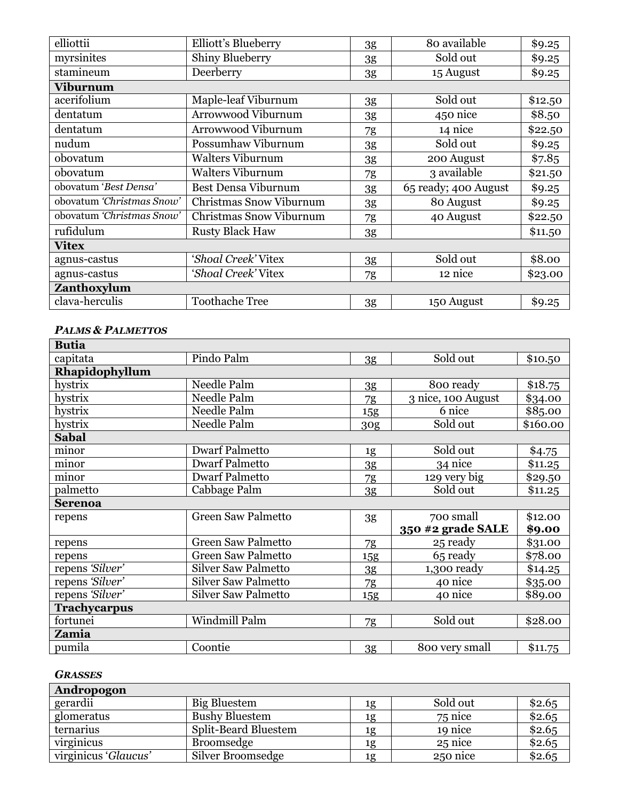| elliottii                 | Elliott's Blueberry        | 3g | 80 available         | \$9.25  |
|---------------------------|----------------------------|----|----------------------|---------|
| myrsinites                | <b>Shiny Blueberry</b>     | 3g | Sold out             | \$9.25  |
| stamineum                 | Deerberry                  | 3g | 15 August            | \$9.25  |
| Viburnum                  |                            |    |                      |         |
| acerifolium               | Maple-leaf Viburnum        | 3g | Sold out             | \$12.50 |
| dentatum                  | Arrowwood Viburnum         | 3g | 450 nice             | \$8.50  |
| dentatum                  | Arrowwood Viburnum         | 7g | 14 nice              | \$22.50 |
| nudum                     | Possumhaw Viburnum         | 3g | Sold out             | \$9.25  |
| obovatum                  | <b>Walters Viburnum</b>    | 3g | 200 August           | \$7.85  |
| obovatum                  | <b>Walters Viburnum</b>    | 7g | 3 available          | \$21.50 |
| obovatum 'Best Densa'     | <b>Best Densa Viburnum</b> | 3g | 65 ready; 400 August | \$9.25  |
| obovatum 'Christmas Snow' | Christmas Snow Viburnum    | 3g | 80 August            | \$9.25  |
| obovatum 'Christmas Snow' | Christmas Snow Viburnum    | 7g | 40 August            | \$22.50 |
| rufidulum                 | <b>Rusty Black Haw</b>     | 3g |                      | \$11.50 |
| <b>Vitex</b>              |                            |    |                      |         |
| agnus-castus              | 'Shoal Creek' Vitex        | 3g | Sold out             | \$8.00  |
| agnus-castus              | 'Shoal Creek' Vitex        | 7g | 12 nice              | \$23.00 |
| Zanthoxylum               |                            |    |                      |         |
| clava-herculis            | <b>Toothache Tree</b>      | 3g | 150 August           | \$9.25  |

### *PALMS & PALMETTOS*

| <b>Butia</b>        |                            |                |                    |          |
|---------------------|----------------------------|----------------|--------------------|----------|
| capitata            | Pindo Palm                 | 3 <sub>g</sub> | Sold out           | \$10.50  |
| Rhapidophyllum      |                            |                |                    |          |
| hystrix             | Needle Palm                | 3 <sub>g</sub> | 800 ready          | \$18.75  |
| hystrix             | Needle Palm                | 7g             | 3 nice, 100 August | \$34.00  |
| hystrix             | Needle Palm                | 15g            | 6 nice             | \$85.00  |
| hystrix             | Needle Palm                | 30g            | Sold out           | \$160.00 |
| <b>Sabal</b>        |                            |                |                    |          |
| minor               | <b>Dwarf Palmetto</b>      | 1g             | Sold out           | \$4.75   |
| minor               | <b>Dwarf Palmetto</b>      | 3g             | 34 nice            | \$11.25  |
| minor               | <b>Dwarf Palmetto</b>      | 7g             | 129 very big       | \$29.50  |
| palmetto            | Cabbage Palm               | 3g             | Sold out           | \$11.25  |
| <b>Serenoa</b>      |                            |                |                    |          |
| repens              | <b>Green Saw Palmetto</b>  | 3g             | 700 small          | \$12.00  |
|                     |                            |                | 350 #2 grade SALE  | \$9.00   |
| repens              | <b>Green Saw Palmetto</b>  | 7g             | 25 ready           | \$31.00  |
| repens              | <b>Green Saw Palmetto</b>  | <b>15g</b>     | 65 ready           | \$78.00  |
| repens 'Silver'     | <b>Silver Saw Palmetto</b> | 3g             | $1,300$ ready      | \$14.25  |
| repens 'Silver'     | <b>Silver Saw Palmetto</b> | 7g             | 40 nice            | \$35.00  |
| repens 'Silver'     | <b>Silver Saw Palmetto</b> | 15g            | 40 nice            | \$89.00  |
| <b>Trachycarpus</b> |                            |                |                    |          |
| fortunei            | Windmill Palm              | 7g             | Sold out           | \$28.00  |
| Zamia               |                            |                |                    |          |
| pumila              | Coontie                    | 3 <sub>g</sub> | 800 very small     | \$11.75  |

#### *GRASSES*

| Andropogon           |                             |    |          |        |
|----------------------|-----------------------------|----|----------|--------|
| gerardii             | Big Bluestem                | 1g | Sold out | \$2.65 |
| glomeratus           | <b>Bushy Bluestem</b>       | 1g | 75 nice  | \$2.65 |
| ternarius            | <b>Split-Beard Bluestem</b> | 1g | 19 nice  | \$2.65 |
| virginicus           | <b>Broomsedge</b>           | 1g | 25 nice  | \$2.65 |
| virginicus 'Glaucus' | Silver Broomsedge           | 1g | 250 nice | \$2.65 |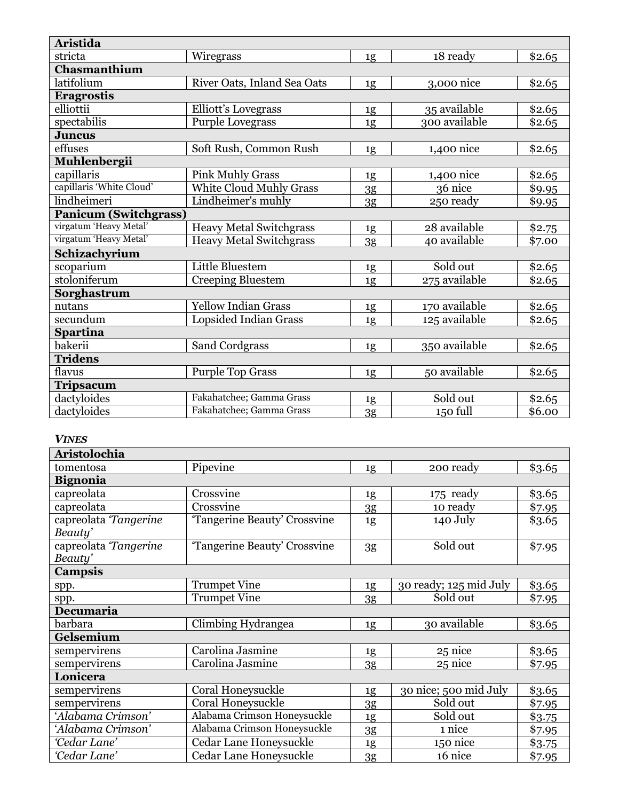| <b>Aristida</b>              |                                |                |               |        |
|------------------------------|--------------------------------|----------------|---------------|--------|
| stricta                      | Wiregrass                      | 1g             | 18 ready      | \$2.65 |
| Chasmanthium                 |                                |                |               |        |
| latifolium                   | River Oats, Inland Sea Oats    | 1g             | 3,000 nice    | \$2.65 |
| <b>Eragrostis</b>            |                                |                |               |        |
| elliottii                    | Elliott's Lovegrass            | 1g             | 35 available  | \$2.65 |
| spectabilis                  | <b>Purple Lovegrass</b>        | 1g             | 300 available | \$2.65 |
| <b>Juncus</b>                |                                |                |               |        |
| effuses                      | Soft Rush, Common Rush         | 1g             | 1,400 nice    | \$2.65 |
| Muhlenbergii                 |                                |                |               |        |
| capillaris                   | <b>Pink Muhly Grass</b>        | 1g             | 1,400 nice    | \$2.65 |
| capillaris 'White Cloud'     | <b>White Cloud Muhly Grass</b> | 3 <sub>g</sub> | 36 nice       | \$9.95 |
| lindheimeri                  | Lindheimer's muhly             | 3g             | 250 ready     | \$9.95 |
| <b>Panicum (Switchgrass)</b> |                                |                |               |        |
| virgatum 'Heavy Metal'       | <b>Heavy Metal Switchgrass</b> | 1g             | 28 available  | \$2.75 |
| virgatum 'Heavy Metal'       | <b>Heavy Metal Switchgrass</b> | 3g             | 40 available  | \$7.00 |
| Schizachyrium                |                                |                |               |        |
| scoparium                    | Little Bluestem                | 1g             | Sold out      | \$2.65 |
| stoloniferum                 | Creeping Bluestem              | 1g             | 275 available | \$2.65 |
| Sorghastrum                  |                                |                |               |        |
| nutans                       | <b>Yellow Indian Grass</b>     | 1g             | 170 available | \$2.65 |
| secundum                     | Lopsided Indian Grass          | 1g             | 125 available | \$2.65 |
| <b>Spartina</b>              |                                |                |               |        |
| bakerii                      | Sand Cordgrass                 | 1g             | 350 available | \$2.65 |
| <b>Tridens</b>               |                                |                |               |        |
| flavus                       | <b>Purple Top Grass</b>        | 1g             | 50 available  | \$2.65 |
| <b>Tripsacum</b>             |                                |                |               |        |
| dactyloides                  | Fakahatchee; Gamma Grass       | 1g             | Sold out      | \$2.65 |
| dactyloides                  | Fakahatchee; Gamma Grass       | 3 <sub>g</sub> | 150 full      | \$6.00 |

#### *VINES*

| Aristolochia          |                              |                |                        |        |
|-----------------------|------------------------------|----------------|------------------------|--------|
| tomentosa             | Pipevine                     | 1g             | 200 ready              | \$3.65 |
| <b>Bignonia</b>       |                              |                |                        |        |
| capreolata            | Crossvine                    | 1g             | 175 ready              | \$3.65 |
| capreolata            | Crossvine                    | 3g             | 10 ready               | \$7.95 |
| capreolata Tangerine  | 'Tangerine Beauty' Crossvine | 1g             | 140 July               | \$3.65 |
| Beauty'               |                              |                |                        |        |
| capreolata 'Tangerine | 'Tangerine Beauty' Crossvine | 3g             | Sold out               | \$7.95 |
| Beauty'               |                              |                |                        |        |
| <b>Campsis</b>        |                              |                |                        |        |
| spp.                  | <b>Trumpet Vine</b>          | 1g             | 30 ready; 125 mid July | \$3.65 |
| spp.                  | <b>Trumpet Vine</b>          | 3g             | Sold out               | \$7.95 |
| Decumaria             |                              |                |                        |        |
| barbara               | Climbing Hydrangea           | 1g             | 30 available           | \$3.65 |
| Gelsemium             |                              |                |                        |        |
| sempervirens          | Carolina Jasmine             | 1g             | 25 nice                | \$3.65 |
| sempervirens          | Carolina Jasmine             | 3 <sub>g</sub> | 25 nice                | \$7.95 |
| Lonicera              |                              |                |                        |        |
| sempervirens          | Coral Honeysuckle            | 1g             | 30 nice; 500 mid July  | \$3.65 |
| sempervirens          | <b>Coral Honeysuckle</b>     | 3g             | Sold out               | \$7.95 |
| 'Alabama Crimson'     | Alabama Crimson Honeysuckle  | 1g             | Sold out               | \$3.75 |
| 'Alabama Crimson'     | Alabama Crimson Honeysuckle  | 3 <sub>g</sub> | 1 nice                 | \$7.95 |
| 'Cedar Lane'          | Cedar Lane Honeysuckle       | 1g             | 150 nice               | \$3.75 |
| 'Cedar Lane'          | Cedar Lane Honeysuckle       | 3g             | 16 nice                | \$7.95 |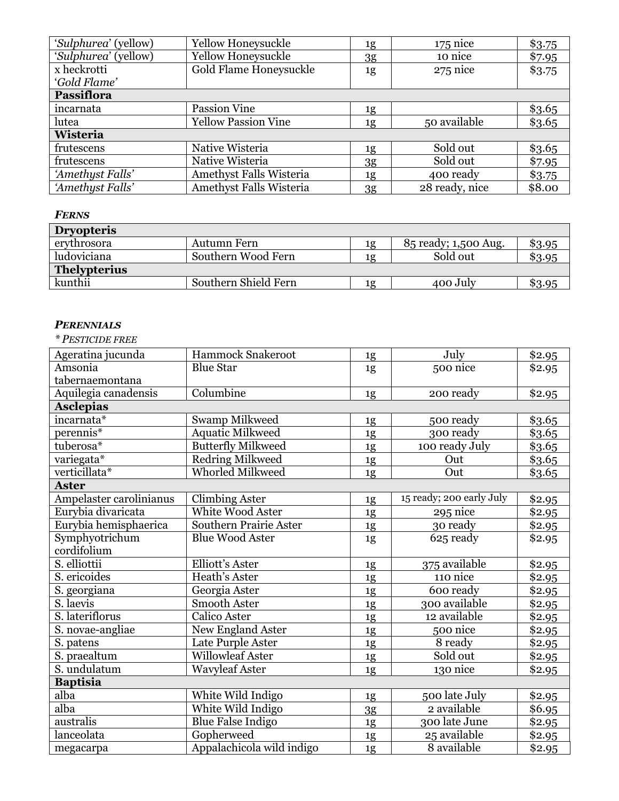| 'Sulphurea' (yellow) | Yellow Honeysuckle             | 1g | $175$ nice     | \$3.75 |
|----------------------|--------------------------------|----|----------------|--------|
| 'Sulphurea' (yellow) | Yellow Honeysuckle             | 3g | 10 nice        | \$7.95 |
| x heckrotti          | Gold Flame Honeysuckle         | 1g | $275$ nice     | \$3.75 |
| 'Gold Flame'         |                                |    |                |        |
| <b>Passiflora</b>    |                                |    |                |        |
| incarnata            | Passion Vine                   | 1g |                | \$3.65 |
| lutea                | <b>Yellow Passion Vine</b>     | 1g | 50 available   | \$3.65 |
| Wisteria             |                                |    |                |        |
| frutescens           | Native Wisteria                | 1g | Sold out       | \$3.65 |
| frutescens           | Native Wisteria                | 3g | Sold out       | \$7.95 |
| 'Amethyst Falls'     | Amethyst Falls Wisteria        | 1g | 400 ready      | \$3.75 |
| 'Amethyst Falls'     | <b>Amethyst Falls Wisteria</b> | 3g | 28 ready, nice | \$8.00 |

#### *FERNS*

| <b>Dryopteris</b>   |                      |    |                      |        |
|---------------------|----------------------|----|----------------------|--------|
| erythrosora         | Autumn Fern          | 1g | 85 ready; 1,500 Aug. | \$3.95 |
| ludoviciana         | Southern Wood Fern   | 1g | Sold out             | \$3.95 |
| <b>Thelypterius</b> |                      |    |                      |        |
| kunthii             | Southern Shield Fern | 1g | 400 July             | \$3.95 |

#### *PERENNIALS*

#### *\* PESTICIDE FREE*

| Ageratina jucunda       | Hammock Snakeroot             | 1g             | July                     | \$2.95 |
|-------------------------|-------------------------------|----------------|--------------------------|--------|
| Amsonia                 | <b>Blue Star</b>              | 1g             | 500 nice                 | \$2.95 |
| tabernaemontana         |                               |                |                          |        |
| Aquilegia canadensis    | Columbine                     | 1g             | 200 ready                | \$2.95 |
| <b>Asclepias</b>        |                               |                |                          |        |
| incarnata*              | Swamp Milkweed                | 1g             | 500 ready                | \$3.65 |
| perennis*               | <b>Aquatic Milkweed</b>       | 1g             | 300 ready                | \$3.65 |
| tuberosa*               | <b>Butterfly Milkweed</b>     | 1g             | 100 ready July           | \$3.65 |
| variegata*              | <b>Redring Milkweed</b>       | $\frac{1g}{2}$ | Out                      | \$3.65 |
| verticillata*           | Whorled Milkweed              | 1g             | Out                      | \$3.65 |
| <b>Aster</b>            |                               |                |                          |        |
| Ampelaster carolinianus | <b>Climbing Aster</b>         | 1g             | 15 ready; 200 early July | \$2.95 |
| Eurybia divaricata      | White Wood Aster              | 1g             | 295 nice                 | \$2.95 |
| Eurybia hemisphaerica   | <b>Southern Prairie Aster</b> | 1g             | 30 ready                 | \$2.95 |
| Symphyotrichum          | <b>Blue Wood Aster</b>        | 1g             | 625 ready                | \$2.95 |
| cordifolium             |                               |                |                          |        |
| S. elliottii            | Elliott's Aster               | 1g             | 375 available            | \$2.95 |
| S. ericoides            | Heath's Aster                 | 1g             | 110 nice                 | \$2.95 |
| S. georgiana            | Georgia Aster                 | 1g             | 600 ready                | \$2.95 |
| S. laevis               | Smooth Aster                  | 1g             | 300 available            | \$2.95 |
| S. lateriflorus         | <b>Calico Aster</b>           | 1g             | 12 available             | \$2.95 |
| S. novae-angliae        | New England Aster             | 1g             | 500 nice                 | \$2.95 |
| S. patens               | Late Purple Aster             | 1g             | 8 ready                  | \$2.95 |
| S. praealtum            | <b>Willowleaf Aster</b>       | 1g             | Sold out                 | \$2.95 |
| S. undulatum            | <b>Wavyleaf Aster</b>         | 1g             | 130 nice                 | \$2.95 |
| <b>Baptisia</b>         |                               |                |                          |        |
| alba                    | White Wild Indigo             | 1g             | 500 late July            | \$2.95 |
| alba                    | White Wild Indigo             | 3 <sub>g</sub> | 2 available              | \$6.95 |
| australis               | <b>Blue False Indigo</b>      | 1g             | 300 late June            | \$2.95 |
| lanceolata              | Gopherweed                    | 1g             | 25 available             | \$2.95 |
| megacarpa               | Appalachicola wild indigo     | 1g             | 8 available              | \$2.95 |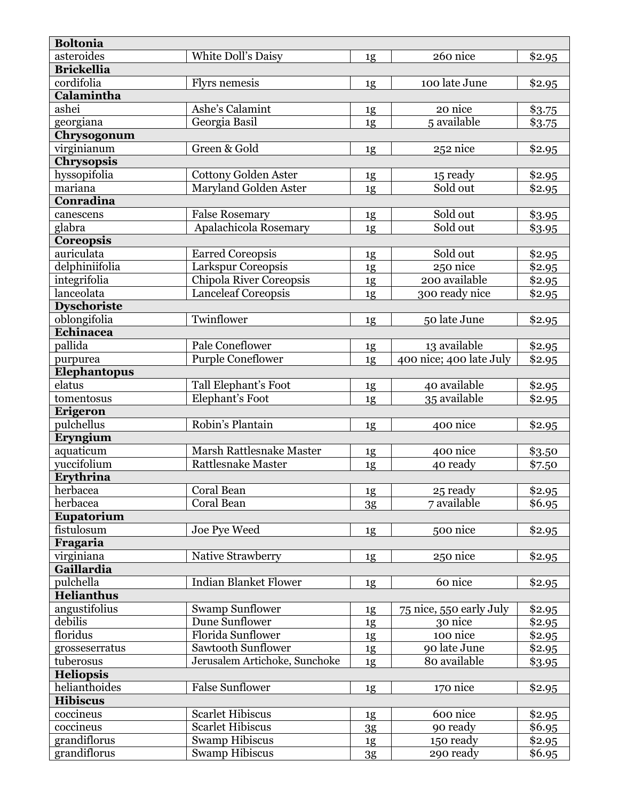| <b>Boltonia</b>    |                                |                |                         |        |
|--------------------|--------------------------------|----------------|-------------------------|--------|
| asteroides         | White Doll's Daisy             | 1g             | 260 nice                | \$2.95 |
| <b>Brickellia</b>  |                                |                |                         |        |
| cordifolia         | Flyrs nemesis                  | 1g             | 100 late June           | \$2.95 |
| Calamintha         |                                |                |                         |        |
| ashei              | Ashe's Calamint                | 1g             | 20 nice                 | \$3.75 |
| georgiana          | Georgia Basil                  | 1g             | 5 available             | \$3.75 |
| Chrysogonum        |                                |                |                         |        |
| virginianum        | Green & Gold                   | 1g             | 252 nice                | \$2.95 |
| <b>Chrysopsis</b>  |                                |                |                         |        |
| hyssopifolia       | <b>Cottony Golden Aster</b>    | 1g             | 15 ready                | \$2.95 |
| mariana            | <b>Maryland Golden Aster</b>   | 1g             | Sold out                | \$2.95 |
| Conradina          |                                |                |                         |        |
| canescens          | <b>False Rosemary</b>          | 1g             | Sold out                | \$3.95 |
| glabra             | Apalachicola Rosemary          | 1g             | Sold out                | \$3.95 |
| <b>Coreopsis</b>   |                                |                |                         |        |
| auriculata         | <b>Earred Coreopsis</b>        | 1g             | Sold out                | \$2.95 |
| delphiniifolia     | Larkspur Coreopsis             | 1g             | 250 nice                | \$2.95 |
| integrifolia       | <b>Chipola River Coreopsis</b> | 1g             | 200 available           | \$2.95 |
| lanceolata         | <b>Lanceleaf Coreopsis</b>     | 1g             | 300 ready nice          | \$2.95 |
| <b>Dyschoriste</b> |                                |                |                         |        |
| oblongifolia       | Twinflower                     | 1g             | 50 late June            | \$2.95 |
| Echinacea          |                                |                |                         |        |
| pallida            | Pale Coneflower                | 1g             | 13 available            | \$2.95 |
| purpurea           | <b>Purple Coneflower</b>       | 1g             | 400 nice; 400 late July | \$2.95 |
| Elephantopus       |                                |                |                         |        |
| elatus             | Tall Elephant's Foot           | 1g             | 40 available            | \$2.95 |
| tomentosus         | Elephant's Foot                | 1g             | 35 available            | \$2.95 |
| Erigeron           |                                |                |                         |        |
| pulchellus         | Robin's Plantain               | 1g             | 400 nice                | \$2.95 |
| Eryngium           |                                |                |                         |        |
| aquaticum          | Marsh Rattlesnake Master       | 1g             | 400 nice                | \$3.50 |
| yuccifolium        | <b>Rattlesnake Master</b>      | 1g             | 40 ready                | \$7.50 |
| Erythrina          |                                |                |                         |        |
| herbacea           | Coral Bean                     | 1g             | 25 ready                | \$2.95 |
| herbacea           | Coral Bean                     | 3 <sub>g</sub> | 7 available             | \$6.95 |
| Eupatorium         |                                |                |                         |        |
| fistulosum         | Joe Pye Weed                   | 1g             | 500 nice                | \$2.95 |
| Fragaria           |                                |                |                         |        |
| virginiana         | Native Strawberry              | 1g             | 250 nice                | \$2.95 |
| Gaillardia         |                                |                |                         |        |
| pulchella          | <b>Indian Blanket Flower</b>   | 1g             | 60 nice                 | \$2.95 |
| <b>Helianthus</b>  |                                |                |                         |        |
| angustifolius      | <b>Swamp Sunflower</b>         | 1g             | 75 nice, 550 early July | \$2.95 |
| debilis            | Dune Sunflower                 | 1g             | 30 nice                 | \$2.95 |
| floridus           | Florida Sunflower              | 1g             | 100 nice                | \$2.95 |
| grosseserratus     | <b>Sawtooth Sunflower</b>      | 1g             | 90 late June            | \$2.95 |
| tuberosus          | Jerusalem Artichoke, Sunchoke  | 1g             | 80 available            | \$3.95 |
| <b>Heliopsis</b>   |                                |                |                         |        |
| helianthoides      | <b>False Sunflower</b>         | 1g             | 170 nice                | \$2.95 |
| <b>Hibiscus</b>    |                                |                |                         |        |
| coccineus          | <b>Scarlet Hibiscus</b>        | 1g             | 600 nice                | \$2.95 |
| coccineus          | <b>Scarlet Hibiscus</b>        | 3g             | 90 ready                | \$6.95 |
| grandiflorus       | <b>Swamp Hibiscus</b>          | 1g             | 150 ready               | \$2.95 |
| grandiflorus       | <b>Swamp Hibiscus</b>          | 3g             | 290 ready               | \$6.95 |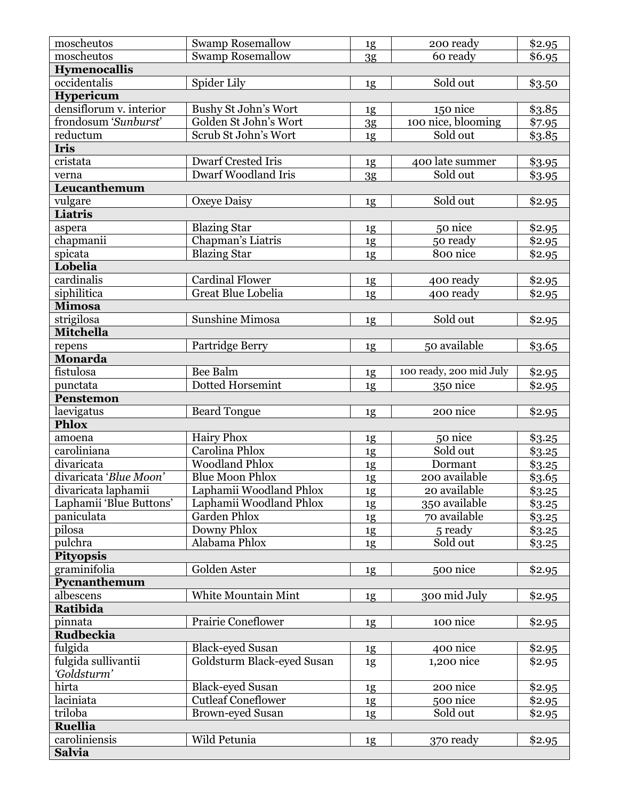| moscheutos                                     | Swamp Rosemallow                        | 1g             | 200 ready                     | \$2.95           |
|------------------------------------------------|-----------------------------------------|----------------|-------------------------------|------------------|
| moscheutos                                     | <b>Swamp Rosemallow</b>                 | 3g             | 60 ready                      | \$6.95           |
| <b>Hymenocallis</b>                            |                                         |                |                               |                  |
| occidentalis                                   | Spider Lily                             | 1g             | Sold out                      | \$3.50           |
| Hypericum                                      |                                         |                |                               |                  |
| densiflorum v. interior                        | <b>Bushy St John's Wort</b>             | 1g             | 150 nice                      | \$3.85           |
| frondosum 'Sunburst'                           | Golden St John's Wort                   | 3 <sub>g</sub> | 100 nice, blooming            | \$7.95           |
| reductum                                       | Scrub St John's Wort                    | 1g             | Sold out                      | \$3.85           |
| <b>Iris</b>                                    |                                         |                |                               |                  |
| $\overline{\text{cristata}}$                   | <b>Dwarf Crested Iris</b>               | 1g             | 400 late summer               | \$3.95           |
| verna                                          | <b>Dwarf Woodland Iris</b>              | 3g             | Sold out                      | \$3.95           |
| Leucanthemum                                   |                                         |                |                               |                  |
| vulgare                                        | Oxeye Daisy                             | 1g             | Sold out                      | \$2.95           |
| Liatris                                        |                                         |                |                               |                  |
| aspera                                         | <b>Blazing Star</b>                     | 1g             | 50 nice                       | \$2.95           |
| chapmanii                                      | Chapman's Liatris                       | 1g             | 50 ready                      | \$2.95           |
| spicata                                        | <b>Blazing Star</b>                     | 1g             | 800 nice                      | \$2.95           |
| Lobelia                                        |                                         |                |                               |                  |
| cardinalis                                     | <b>Cardinal Flower</b>                  | 1g             | 400 ready                     | \$2.95           |
| siphilitica                                    | Great Blue Lobelia                      | 1g             | 400 ready                     | \$2.95           |
| <b>Mimosa</b>                                  |                                         |                |                               |                  |
| strigilosa                                     | Sunshine Mimosa                         | 1g             | Sold out                      | \$2.95           |
| <b>Mitchella</b>                               |                                         |                |                               |                  |
| repens                                         | Partridge Berry                         | 1g             | 50 available                  | \$3.65           |
| Monarda                                        |                                         |                |                               |                  |
| fistulosa                                      | Bee Balm                                | 1g             | 100 ready, 200 mid July       | \$2.95           |
| punctata                                       | Dotted Horsemint                        | 1g             | 350 nice                      | \$2.95           |
| Penstemon                                      |                                         |                |                               |                  |
|                                                |                                         |                |                               |                  |
|                                                |                                         |                | 200 nice                      |                  |
| laevigatus<br><b>Phlox</b>                     | <b>Beard Tongue</b>                     | 1g             |                               | \$2.95           |
| amoena                                         | <b>Hairy Phox</b>                       |                |                               | \$3.25           |
| caroliniana                                    | Carolina Phlox                          | 1g             | 50 nice<br>Sold out           |                  |
| divaricata                                     | <b>Woodland Phlox</b>                   | 1g             | Dormant                       | \$3.25           |
| divaricata 'Blue Moon'                         | <b>Blue Moon Phlox</b>                  | 1g             | 200 available                 | \$3.25           |
|                                                |                                         | 1g             | 20 available                  | \$3.65           |
| divaricata laphamii<br>Laphamii 'Blue Buttons' | Laphamii Woodland Phlox                 | $\frac{1g}{2}$ |                               | \$3.25           |
| paniculata                                     | Laphamii Woodland Phlox<br>Garden Phlox | 1g             | 350 available<br>70 available | \$3.25<br>\$3.25 |
| pilosa                                         | Downy Phlox                             | 1g             | 5 ready                       |                  |
| pulchra                                        | Alabama Phlox                           | $\frac{1g}{2}$ | Sold out                      | \$3.25           |
| <b>Pityopsis</b>                               |                                         | 1g             |                               | \$3.25           |
|                                                | Golden Aster                            |                | 500 nice                      |                  |
| graminifolia<br>Pycnanthemum                   |                                         | 1g             |                               | \$2.95           |
| albescens                                      | White Mountain Mint                     |                | 300 mid July                  |                  |
| Ratibida                                       |                                         | 1g             |                               | \$2.95           |
| pinnata                                        | <b>Prairie Coneflower</b>               |                | 100 nice                      |                  |
| <b>Rudbeckia</b>                               |                                         | 1g             |                               | \$2.95           |
|                                                | <b>Black-eyed Susan</b>                 |                | 400 nice                      |                  |
| fulgida                                        |                                         | 1g             | 1,200 nice                    | \$2.95           |
| fulgida sullivantii<br>'Goldsturm'             | Goldsturm Black-eyed Susan              | 1g             |                               | \$2.95           |
| hirta                                          | <b>Black-eyed Susan</b>                 | 1g             | 200 nice                      | \$2.95           |
| laciniata                                      | <b>Cutleaf Coneflower</b>               | 1g             | 500 nice                      | \$2.95           |
| triloba                                        | <b>Brown-eyed Susan</b>                 | 1g             | Sold out                      | \$2.95           |
| <b>Ruellia</b>                                 |                                         |                |                               |                  |
| caroliniensis                                  | Wild Petunia                            | 1g             | 370 ready                     | \$2.95           |